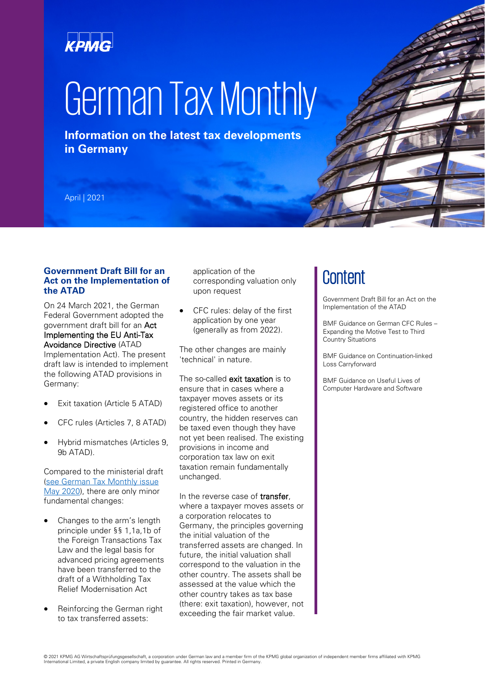# KPMG

# German Tax Monthly

**Information on the latest tax developments in Germany**

April | 2021

# **Government Draft Bill for an Act on the Implementation of the ATAD**

On 24 March 2021, the German Federal Government adopted the government draft bill for an Act Implementing the EU Anti-Tax Avoidance Directive (ATAD Implementation Act). The present draft law is intended to implement the following ATAD provisions in Germany:

- Exit taxation (Article 5 ATAD)
- CFC rules (Articles 7, 8 ATAD)
- Hybrid mismatches (Articles 9, 9b ATAD).

Compared to the ministerial draft [\(see German Tax Monthly issue](https://assets.kpmg/content/dam/kpmg/de/pdf/Themen/2020/04/german-tax-monthly-may-2020-kpmg.pdf)  [May 2020\)](https://assets.kpmg/content/dam/kpmg/de/pdf/Themen/2020/04/german-tax-monthly-may-2020-kpmg.pdf), there are only minor fundamental changes:

- Changes to the arm's length principle under §§ 1,1a,1b of the Foreign Transactions Tax Law and the legal basis for advanced pricing agreements have been transferred to the draft of a Withholding Tax Relief Modernisation Act
- Reinforcing the German right to tax transferred assets:

application of the corresponding valuation only upon request

CFC rules: delay of the first application by one year (generally as from 2022).

The other changes are mainly 'technical' in nature.

The so-called **exit taxation** is to ensure that in cases where a taxpayer moves assets or its registered office to another country, the hidden reserves can be taxed even though they have not yet been realised. The existing provisions in income and corporation tax law on exit taxation remain fundamentally unchanged.

In the reverse case of **transfer**. where a taxpayer moves assets or a corporation relocates to Germany, the principles governing the initial valuation of the transferred assets are changed. In future, the initial valuation shall correspond to the valuation in the other country. The assets shall be assessed at the value which the other country takes as tax base (there: exit taxation), however, not exceeding the fair market value.

# **Content**

Government Draft Bill for an Act on the Implementation of the ATAD

BMF Guidance on German CFC Rules – Expanding the Motive Test to Third Country Situations

BMF Guidance on Continuation-linked Loss Carryforward

BMF Guidance on Useful Lives of Computer Hardware and Software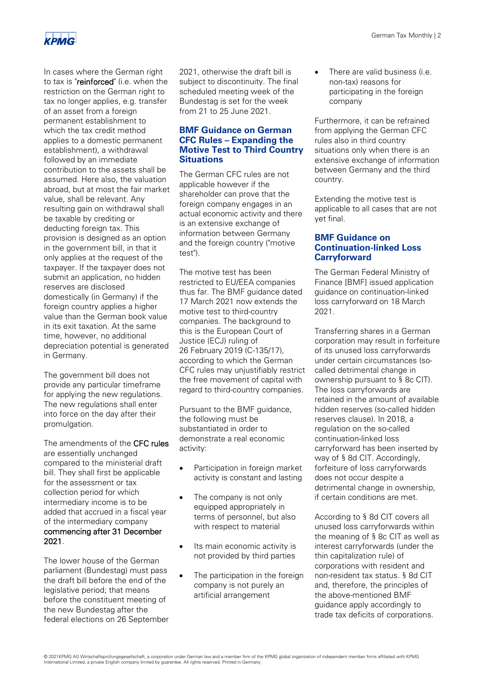

In cases where the German right to tax is "reinforced" (i.e. when the restriction on the German right to tax no longer applies, e.g. transfer of an asset from a foreign permanent establishment to which the tax credit method applies to a domestic permanent establishment), a withdrawal followed by an immediate contribution to the assets shall be assumed. Here also, the valuation abroad, but at most the fair market value, shall be relevant. Any resulting gain on withdrawal shall be taxable by crediting or deducting foreign tax. This provision is designed as an option in the government bill, in that it only applies at the request of the taxpayer. If the taxpayer does not submit an application, no hidden reserves are disclosed domestically (in Germany) if the foreign country applies a higher value than the German book value in its exit taxation. At the same time, however, no additional depreciation potential is generated in Germany.

The government bill does not provide any particular timeframe for applying the new regulations. The new regulations shall enter into force on the day after their promulgation.

The amendments of the CFC rules are essentially unchanged compared to the ministerial draft bill. They shall first be applicable for the assessment or tax collection period for which intermediary income is to be added that accrued in a fiscal year of the intermediary company commencing after 31 December 2021.

The lower house of the German parliament (Bundestag) must pass the draft bill before the end of the legislative period; that means before the constituent meeting of the new Bundestag after the federal elections on 26 September 2021, otherwise the draft bill is subject to discontinuity. The final scheduled meeting week of the Bundestag is set for the week from 21 to 25 June 2021.

# **BMF Guidance on German CFC Rules – Expanding the Motive Test to Third Country Situations**

The German CFC rules are not applicable however if the shareholder can prove that the foreign company engages in an actual economic activity and there is an extensive exchange of information between Germany and the foreign country ("motive test").

The motive test has been restricted to EU/EEA companies thus far. The BMF guidance dated 17 March 2021 now extends the motive test to third-country companies. The background to this is the European Court of Justice (ECJ) ruling of 26 February 2019 (C-135/17), according to which the German CFC rules may unjustifiably restrict the free movement of capital with regard to third-country companies.

Pursuant to the BMF guidance, the following must be substantiated in order to demonstrate a real economic activity:

- Participation in foreign market activity is constant and lasting
- The company is not only equipped appropriately in terms of personnel, but also with respect to material
- Its main economic activity is not provided by third parties
- The participation in the foreign company is not purely an artificial arrangement

There are valid business (i.e. non-tax) reasons for participating in the foreign company

Furthermore, it can be refrained from applying the German CFC rules also in third country situations only when there is an extensive exchange of information between Germany and the third country.

Extending the motive test is applicable to all cases that are not yet final.

## **BMF Guidance on Continuation-linked Loss Carryforward**

The German Federal Ministry of Finance [BMF] issued application guidance on continuation-linked loss carryforward on 18 March 2021.

Transferring shares in a German corporation may result in forfeiture of its unused loss carryforwards under certain circumstances (socalled detrimental change in ownership pursuant to § 8c CIT). The loss carryforwards are retained in the amount of available hidden reserves (so-called hidden reserves clause). In 2018, a regulation on the so-called continuation-linked loss carryforward has been inserted by way of § 8d CIT. Accordingly, forfeiture of loss carryforwards does not occur despite a detrimental change in ownership, if certain conditions are met.

According to § 8d CIT covers all unused loss carryforwards within the meaning of § 8c CIT as well as interest carryforwards (under the thin capitalization rule) of corporations with resident and non-resident tax status. § 8d CIT and, therefore, the principles of the above-mentioned BMF guidance apply accordingly to trade tax deficits of corporations.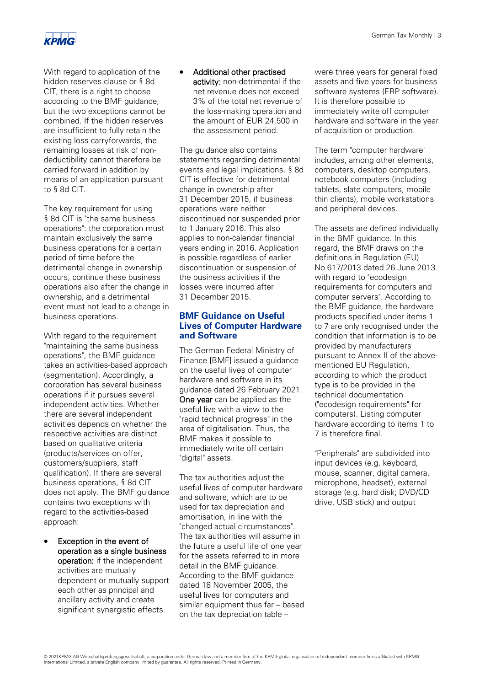

With regard to application of the hidden reserves clause or § 8d CIT, there is a right to choose according to the BMF guidance, but the two exceptions cannot be combined. If the hidden reserves are insufficient to fully retain the existing loss carryforwards, the remaining losses at risk of nondeductibility cannot therefore be carried forward in addition by means of an application pursuant to § 8d CIT.

The key requirement for using § 8d CIT is "the same business operations": the corporation must maintain exclusively the same business operations for a certain period of time before the detrimental change in ownership occurs, continue these business operations also after the change in ownership, and a detrimental event must not lead to a change in business operations.

With regard to the requirement "maintaining the same business operations", the BMF guidance takes an activities-based approach (segmentation). Accordingly, a corporation has several business operations if it pursues several independent activities. Whether there are several independent activities depends on whether the respective activities are distinct based on qualitative criteria (products/services on offer, customers/suppliers, staff qualification). If there are several business operations, § 8d CIT does not apply. The BMF guidance contains two exceptions with regard to the activities-based approach:

Exception in the event of operation as a single business operation: if the independent activities are mutually dependent or mutually support each other as principal and ancillary activity and create significant synergistic effects.

# • Additional other practised

activity: non-detrimental if the net revenue does not exceed 3% of the total net revenue of the loss-making operation and the amount of EUR 24,500 in the assessment period.

The guidance also contains statements regarding detrimental events and legal implications. § 8d CIT is effective for detrimental change in ownership after 31 December 2015, if business operations were neither discontinued nor suspended prior to 1 January 2016. This also applies to non-calendar financial years ending in 2016. Application is possible regardless of earlier discontinuation or suspension of the business activities if the losses were incurred after 31 December 2015.

# **BMF Guidance on Useful Lives of Computer Hardware and Software**

The German Federal Ministry of Finance [BMF] issued a guidance on the useful lives of computer hardware and software in its guidance dated 26 February 2021. **One year** can be applied as the useful live with a view to the "rapid technical progress" in the area of digitalisation. Thus, the BMF makes it possible to immediately write off certain "digital" assets.

The tax authorities adjust the useful lives of computer hardware and software, which are to be used for tax depreciation and amortisation, in line with the "changed actual circumstances". The tax authorities will assume in the future a useful life of one year for the assets referred to in more detail in the BMF guidance. According to the BMF guidance dated 18 November 2005, the useful lives for computers and similar equipment thus far – based on the tax depreciation table –

were three years for general fixed assets and five years for business software systems (ERP software). It is therefore possible to immediately write off computer hardware and software in the year of acquisition or production.

The term "computer hardware" includes, among other elements, computers, desktop computers, notebook computers (including tablets, slate computers, mobile thin clients), mobile workstations and peripheral devices.

The assets are defined individually in the BMF guidance. In this regard, the BMF draws on the definitions in Regulation (EU) No 617/2013 dated 26 June 2013 with regard to "ecodesign requirements for computers and computer servers". According to the BMF guidance, the hardware products specified under items 1 to 7 are only recognised under the condition that information is to be provided by manufacturers pursuant to Annex II of the abovementioned EU Regulation, according to which the product type is to be provided in the technical documentation ("ecodesign requirements" for computers). Listing computer hardware according to items 1 to 7 is therefore final.

"Peripherals" are subdivided into input devices (e.g. keyboard, mouse, scanner, digital camera, microphone, headset), external storage (e.g. hard disk; DVD/CD drive, USB stick) and output